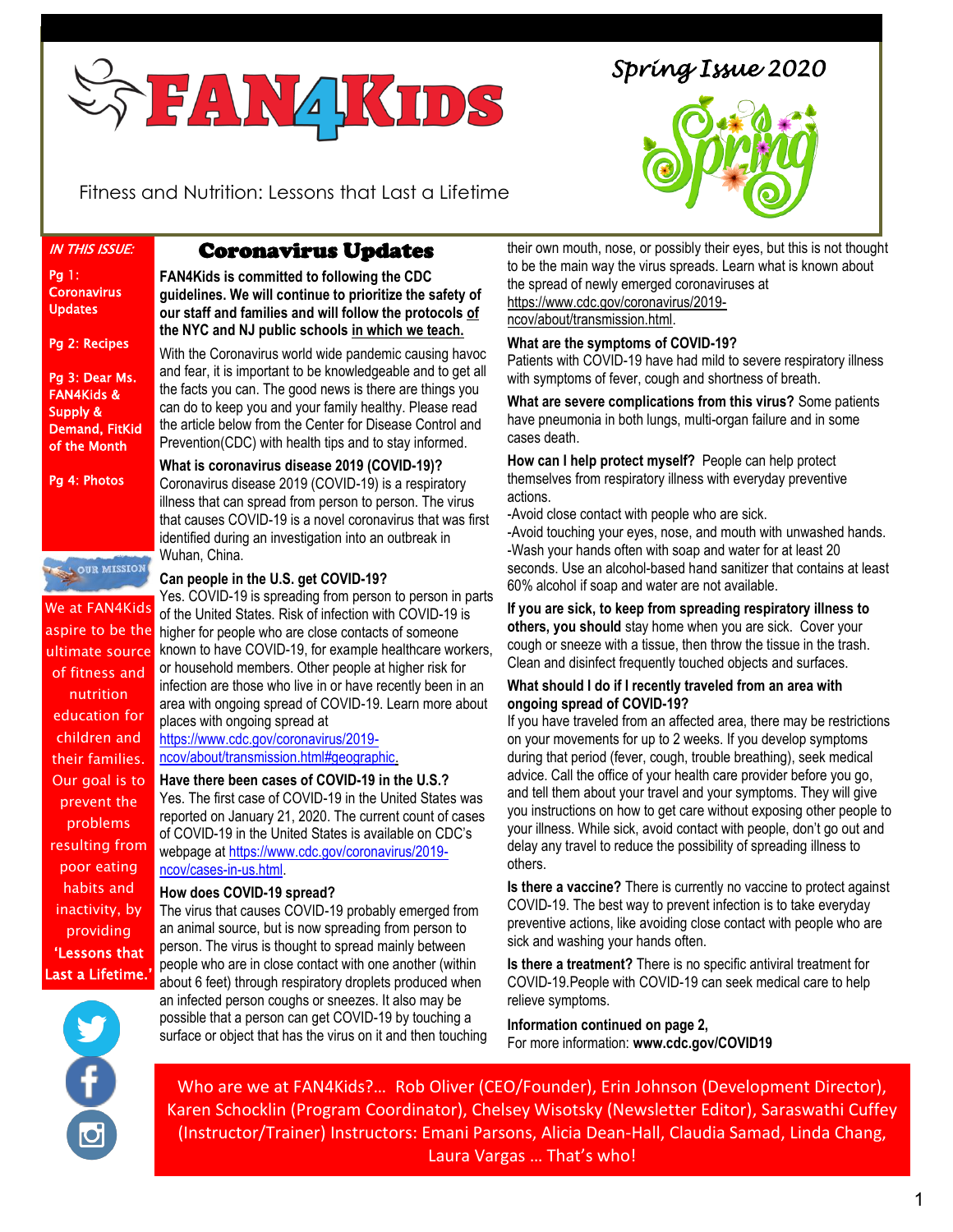

*Spring Issue 2020* 



Fitness and Nutrition: Lessons that Last a Lifetime

IN THIS ISSUE:

Pg 1: **Coronavirus** Updates

Pg 2: Recipes

Pg 3: Dear Ms. FAN4Kids & Supply & Demand, FitKid of the Month

Pg 4: Photos



We at FAN4Kids ultimate source of fitness and nutrition education for children and their families. Our goal is to prevent the problems resulting from poor eating habits and inactivity, by providing 'Lessons that Last a Lifetime.'

# Coronavirus Updates

**FAN4Kids is committed to following the CDC guidelines. We will continue to prioritize the safety of our staff and families and will follow the protocols of the NYC and NJ public schools in which we teach.**

l

With the Coronavirus world wide pandemic causing havoc and fear, it is important to be knowledgeable and to get all the facts you can. The good news is there are things you can do to keep you and your family healthy. Please read the article below from the Center for Disease Control and Prevention(CDC) with health tips and to stay informed.

**What is coronavirus disease 2019 (COVID-19)?**  Coronavirus disease 2019 (COVID-19) is a respiratory illness that can spread from person to person. The virus that causes COVID-19 is a novel coronavirus that was first identified during an investigation into an outbreak in Wuhan, China.

#### **Can people in the U.S. get COVID-19?**

aspire to be the higher for people who are close contacts of someone Yes. COVID-19 is spreading from person to person in parts of the United States. Risk of infection with COVID-19 is known to have COVID-19, for example healthcare workers, or household members. Other people at higher risk for infection are those who live in or have recently been in an area with ongoing spread of COVID-19. Learn more about places with ongoing spread at

https://www.cdc.gov/coronavirus/2019 ncov/about/transmission.html#geographic.

**Have there been cases of COVID-19 in the U.S.?**  Yes. The first case of COVID-19 in the United States was reported on January 21, 2020. The current count of cases of COVID-19 in the United States is available on CDC's webpage at https://www.cdc.gov/coronavirus/2019 ncov/cases-in-us.html.

#### **How does COVID-19 spread?**

The virus that causes COVID-19 probably emerged from an animal source, but is now spreading from person to person. The virus is thought to spread mainly between people who are in close contact with one another (within about 6 feet) through respiratory droplets produced when

# an infected person coughs or sneezes. It also may be possible that a person can get COVID-19 by touching a

surface or object that has the virus on it and then touching

their own mouth, nose, or possibly their eyes, but this is not thought to be the main way the virus spreads. Learn what is known about the spread of newly emerged coronaviruses at https://www.cdc.gov/coronavirus/2019-

ncov/about/transmission.html.

# **What are the symptoms of COVID-19?**

Patients with COVID-19 have had mild to severe respiratory illness with symptoms of fever, cough and shortness of breath.

**What are severe complications from this virus?** Some patients have pneumonia in both lungs, multi-organ failure and in some cases death.

**How can I help protect myself?** People can help protect themselves from respiratory illness with everyday preventive actions.

-Avoid close contact with people who are sick.

-Avoid touching your eyes, nose, and mouth with unwashed hands. -Wash your hands often with soap and water for at least 20 seconds. Use an alcohol-based hand sanitizer that contains at least 60% alcohol if soap and water are not available.

**If you are sick, to keep from spreading respiratory illness to others, you should** stay home when you are sick. Cover your cough or sneeze with a tissue, then throw the tissue in the trash. Clean and disinfect frequently touched objects and surfaces.

## **What should I do if I recently traveled from an area with ongoing spread of COVID-19?**

If you have traveled from an affected area, there may be restrictions on your movements for up to 2 weeks. If you develop symptoms during that period (fever, cough, trouble breathing), seek medical advice. Call the office of your health care provider before you go, and tell them about your travel and your symptoms. They will give you instructions on how to get care without exposing other people to your illness. While sick, avoid contact with people, don't go out and delay any travel to reduce the possibility of spreading illness to others.

**Is there a vaccine?** There is currently no vaccine to protect against COVID-19. The best way to prevent infection is to take everyday preventive actions, like avoiding close contact with people who are sick and washing your hands often.

**Is there a treatment?** There is no specific antiviral treatment for COVID-19.People with COVID-19 can seek medical care to help relieve symptoms.

**Information continued on page 2,** For more information: **www.cdc.gov/COVID19**

Who are we at FAN4Kids?… Rob Oliver (CEO/Founder), Erin Johnson (Development Director), Karen Schocklin (Program Coordinator), Chelsey Wisotsky (Newsletter Editor), Saraswathi Cuffey (Instructor/Trainer) Instructors: Emani Parsons, Alicia Dean-Hall, Claudia Samad, Linda Chang, Laura Vargas … That's who!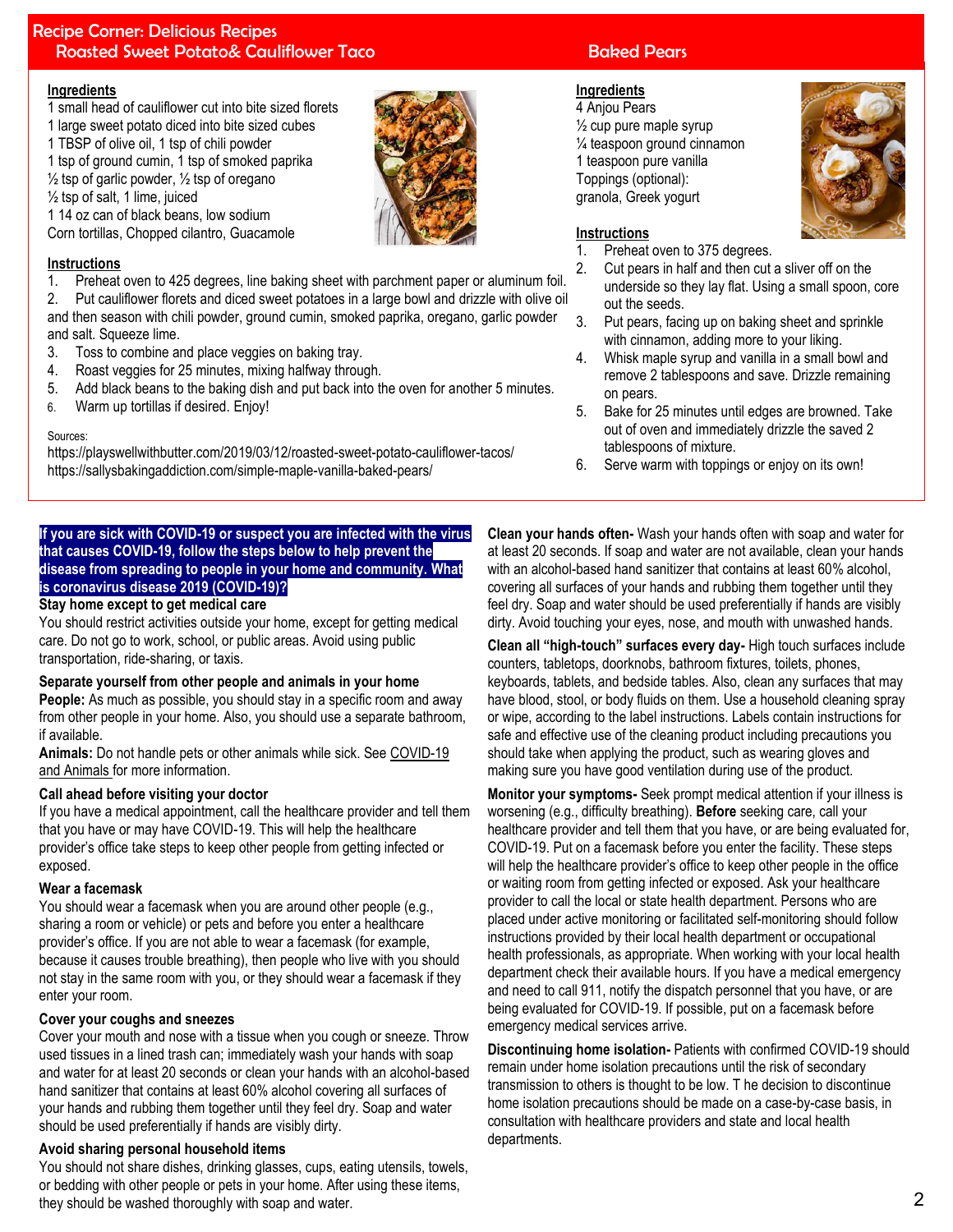# Recipe Corner: Delicious Recipes **Roasted Sweet Potato& Cauliflower Taco Research Roasted Pears**

## **Ingredients**

- 1 small head of cauliflower cut into bite sized florets
- 1 large sweet potato diced into bite sized cubes
- 1 TBSP of olive oil, 1 tsp of chili powder
- 1 tsp of ground cumin, 1 tsp of smoked paprika  $\frac{1}{2}$  tsp of garlic powder,  $\frac{1}{2}$  tsp of oregano
- $\frac{1}{2}$  tsp of salt, 1 lime, juiced
- 1 14 oz can of black beans, low sodium

Corn tortillas, Chopped cilantro, Guacamole

# **Instructions**

1. Preheat oven to 425 degrees, line baking sheet with parchment paper or aluminum foil.

- 2. Put cauliflower florets and diced sweet potatoes in a large bowl and drizzle with olive oil and then season with chili powder, ground cumin, smoked paprika, oregano, garlic powder and salt. Squeeze lime.
- 3. Toss to combine and place veggies on baking tray.
- 4. Roast veggies for 25 minutes, mixing halfway through.
- 5. Add black beans to the baking dish and put back into the oven for another 5 minutes.
- 6. Warm up tortillas if desired. Enjoy!

#### Sources:

https://playswellwithbutter.com/2019/03/12/roasted-sweet-potato-cauliflower-tacos/ https://sallysbakingaddiction.com/simple-maple-vanilla-baked-pears/

# **If you are sick with COVID-19 or suspect you are infected with the virus that causes COVID-19, follow the steps below to help prevent the disease from spreading to people in your home and community. What is coronavirus disease 2019 (COVID-19)?**

### **Stay home except to get medical care**

You should restrict activities outside your home, except for getting medical care. Do not go to work, school, or public areas. Avoid using public transportation, ride-sharing, or taxis.

#### **Separate yourself from other people and animals in your home**

**People:** As much as possible, you should stay in a specific room and away from other people in your home. Also, you should use a separate bathroom, if available.

**Animals:** Do not handle pets or other animals while sick. See COVID-19 and Animals for more information.

# **Call ahead before visiting your doctor**

If you have a medical appointment, call the healthcare provider and tell them that you have or may have COVID-19. This will help the healthcare provider's office take steps to keep other people from getting infected or exposed.

# **Wear a facemask**

You should wear a facemask when you are around other people (e.g., sharing a room or vehicle) or pets and before you enter a healthcare provider's office. If you are not able to wear a facemask (for example, because it causes trouble breathing), then people who live with you should not stay in the same room with you, or they should wear a facemask if they enter your room.

# **Cover your coughs and sneezes**

Cover your mouth and nose with a tissue when you cough or sneeze. Throw used tissues in a lined trash can; immediately wash your hands with soap and water for at least 20 seconds or clean your hands with an alcohol-based hand sanitizer that contains at least 60% alcohol covering all surfaces of your hands and rubbing them together until they feel dry. Soap and water should be used preferentially if hands are visibly dirty.

# **Avoid sharing personal household items**

You should not share dishes, drinking glasses, cups, eating utensils, towels, or bedding with other people or pets in your home. After using these items, they should be washed thoroughly with soap and water.

# **Ingredients**

4 Anjou Pears ½ cup pure maple syrup ¼ teaspoon ground cinnamon 1 teaspoon pure vanilla Toppings (optional): granola, Greek yogurt



# **Instructions**

- 1. Preheat oven to 375 degrees.
- 2. Cut pears in half and then cut a sliver off on the underside so they lay flat. Using a small spoon, core out the seeds.
- 3. Put pears, facing up on baking sheet and sprinkle with cinnamon, adding more to your liking.
- 4. Whisk maple syrup and vanilla in a small bowl and remove 2 tablespoons and save. Drizzle remaining on pears.
- 5. Bake for 25 minutes until edges are browned. Take out of oven and immediately drizzle the saved 2 tablespoons of mixture.
- 6. Serve warm with toppings or enjoy on its own!

**Clean your hands often-** Wash your hands often with soap and water for at least 20 seconds. If soap and water are not available, clean your hands with an alcohol-based hand sanitizer that contains at least 60% alcohol, covering all surfaces of your hands and rubbing them together until they feel dry. Soap and water should be used preferentially if hands are visibly dirty. Avoid touching your eyes, nose, and mouth with unwashed hands.

**Clean all "high-touch" surfaces every day-** High touch surfaces include counters, tabletops, doorknobs, bathroom fixtures, toilets, phones, keyboards, tablets, and bedside tables. Also, clean any surfaces that may have blood, stool, or body fluids on them. Use a household cleaning spray or wipe, according to the label instructions. Labels contain instructions for safe and effective use of the cleaning product including precautions you should take when applying the product, such as wearing gloves and making sure you have good ventilation during use of the product.

**Monitor your symptoms-** Seek prompt medical attention if your illness is worsening (e.g., difficulty breathing). **Before** seeking care, call your healthcare provider and tell them that you have, or are being evaluated for, COVID-19. Put on a facemask before you enter the facility. These steps will help the healthcare provider's office to keep other people in the office or waiting room from getting infected or exposed. Ask your healthcare provider to call the local or state health department. Persons who are placed under active monitoring or facilitated self-monitoring should follow instructions provided by their local health department or occupational health professionals, as appropriate. When working with your local health department check their available hours. If you have a medical emergency and need to call 911, notify the dispatch personnel that you have, or are being evaluated for COVID-19. If possible, put on a facemask before emergency medical services arrive.

**Discontinuing home isolation-** Patients with confirmed COVID-19 should remain under home isolation precautions until the risk of secondary transmission to others is thought to be low. T he decision to discontinue home isolation precautions should be made on a case-by-case basis, in consultation with healthcare providers and state and local health departments.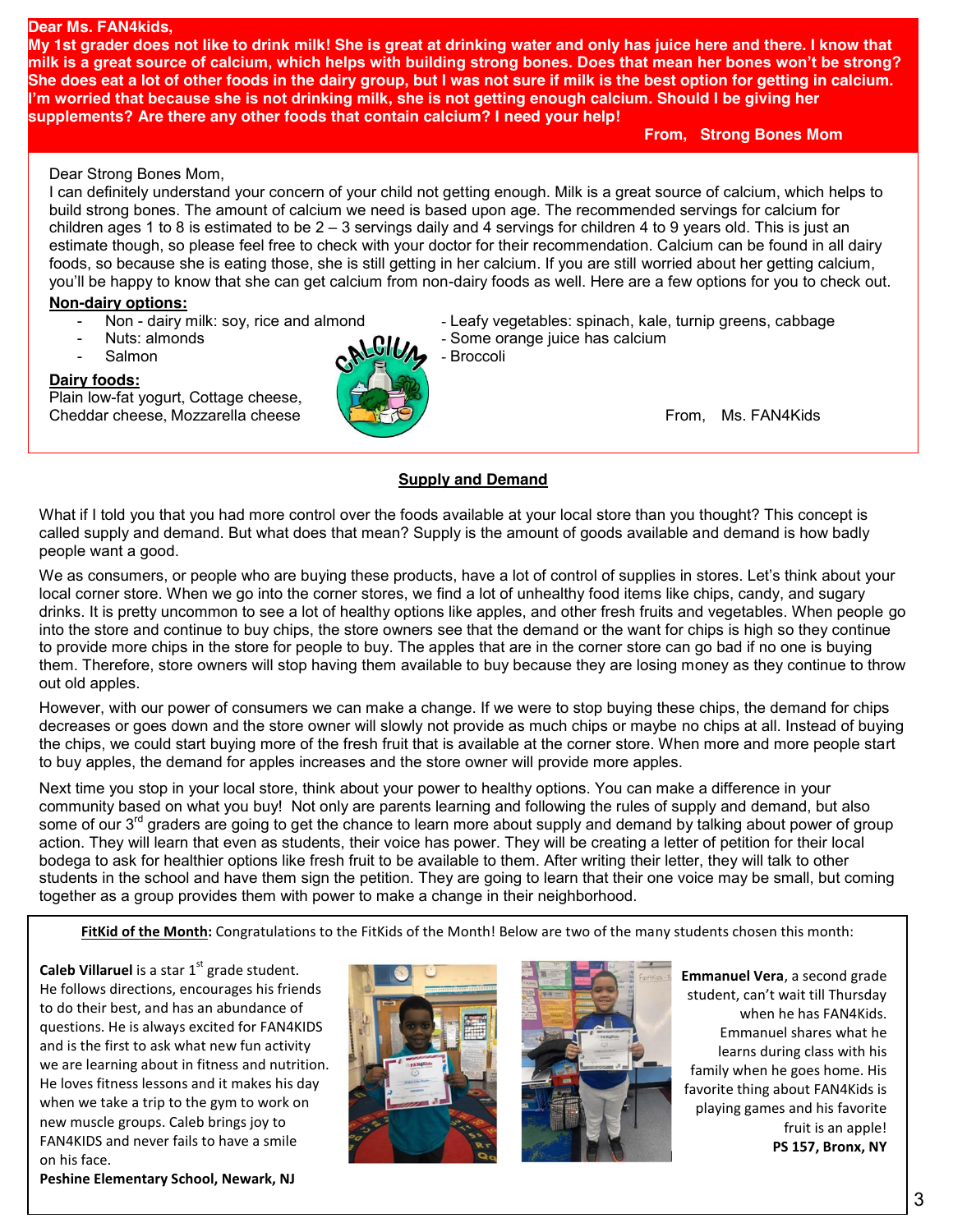#### **Dear Ms. FAN4kids,**

**My 1st grader does not like to drink milk! She is great at drinking water and only has juice here and there. I know that milk is a great source of calcium, which helps with building strong bones. Does that mean her bones won't be strong? She does eat a lot of other foods in the dairy group, but I was not sure if milk is the best option for getting in calcium. I'm worried that because she is not drinking milk, she is not getting enough calcium. Should I be giving her supplements? Are there any other foods that contain calcium? I need your help!**

**From, Strong Bones Mom**

#### Dear Strong Bones Mom,

I can definitely understand your concern of your child not getting enough. Milk is a great source of calcium, which helps to build strong bones. The amount of calcium we need is based upon age. The recommended servings for calcium for children ages 1 to 8 is estimated to be  $2 - 3$  servings daily and 4 servings for children 4 to 9 years old. This is just an estimate though, so please feel free to check with your doctor for their recommendation. Calcium can be found in all dairy foods, so because she is eating those, she is still getting in her calcium. If you are still worried about her getting calcium, you'll be happy to know that she can get calcium from non-dairy foods as well. Here are a few options for you to check out.

#### **Non-dairy options:**

- 
- 
- 

#### **Dairy foods:**

Plain low-fat yogurt, Cottage cheese, Cheddar cheese, Mozzarella cheese **From, Ms. FAN4Kids** From, Ms. FAN4Kids



Non - dairy milk: soy, rice and almond - Leafy vegetables: spinach, kale, turnip greens, cabbage Nuts: almonds **CHA** Some orange juice has calcium

#### **Supply and Demand**

What if I told you that you had more control over the foods available at your local store than you thought? This concept is called supply and demand. But what does that mean? Supply is the amount of goods available and demand is how badly people want a good.

We as consumers, or people who are buying these products, have a lot of control of supplies in stores. Let's think about your local corner store. When we go into the corner stores, we find a lot of unhealthy food items like chips, candy, and sugary drinks. It is pretty uncommon to see a lot of healthy options like apples, and other fresh fruits and vegetables. When people go into the store and continue to buy chips, the store owners see that the demand or the want for chips is high so they continue to provide more chips in the store for people to buy. The apples that are in the corner store can go bad if no one is buying them. Therefore, store owners will stop having them available to buy because they are losing money as they continue to throw out old apples.

However, with our power of consumers we can make a change. If we were to stop buying these chips, the demand for chips decreases or goes down and the store owner will slowly not provide as much chips or maybe no chips at all. Instead of buying the chips, we could start buying more of the fresh fruit that is available at the corner store. When more and more people start to buy apples, the demand for apples increases and the store owner will provide more apples.

Next time you stop in your local store, think about your power to healthy options. You can make a difference in your community based on what you buy! Not only are parents learning and following the rules of supply and demand, but also some of our 3<sup>rd</sup> graders are going to get the chance to learn more about supply and demand by talking about power of group action. They will learn that even as students, their voice has power. They will be creating a letter of petition for their local bodega to ask for healthier options like fresh fruit to be available to them. After writing their letter, they will talk to other students in the school and have them sign the petition. They are going to learn that their one voice may be small, but coming together as a group provides them with power to make a change in their neighborhood.

**FitKid of the Month:** Congratulations to the FitKids of the Month! Below are two of the many students chosen this month:

**Caleb Villaruel** is a star 1<sup>st</sup> grade student. He follows directions, encourages his friends to do their best, and has an abundance of questions. He is always excited for FAN4KIDS and is the first to ask what new fun activity we are learning about in fitness and nutrition. He loves fitness lessons and it makes his day when we take a trip to the gym to work on new muscle groups. Caleb brings joy to FAN4KIDS and never fails to have a smile on his face.

**Peshine Elementary School, Newark, NJ** 





**Emmanuel Vera**, a second grade student, can't wait till Thursday when he has FAN4Kids. Emmanuel shares what he learns during class with his family when he goes home. His favorite thing about FAN4Kids is playing games and his favorite fruit is an apple! **PS 157, Bronx, NY**